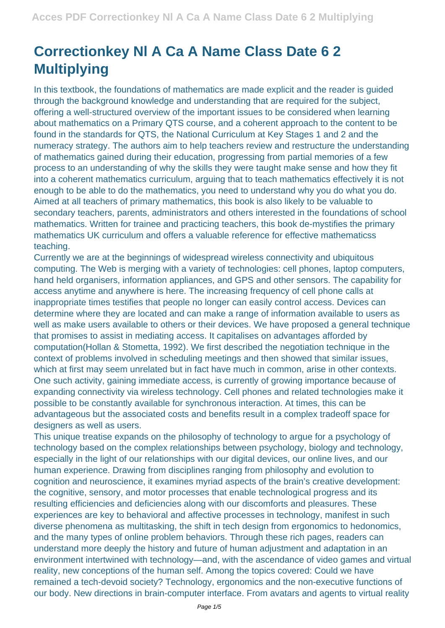## **Correctionkey Nl A Ca A Name Class Date 6 2 Multiplying**

In this textbook, the foundations of mathematics are made explicit and the reader is guided through the background knowledge and understanding that are required for the subject, offering a well-structured overview of the important issues to be considered when learning about mathematics on a Primary QTS course, and a coherent approach to the content to be found in the standards for QTS, the National Curriculum at Key Stages 1 and 2 and the numeracy strategy. The authors aim to help teachers review and restructure the understanding of mathematics gained during their education, progressing from partial memories of a few process to an understanding of why the skills they were taught make sense and how they fit into a coherent mathematics curriculum, arguing that to teach mathematics effectively it is not enough to be able to do the mathematics, you need to understand why you do what you do. Aimed at all teachers of primary mathematics, this book is also likely to be valuable to secondary teachers, parents, administrators and others interested in the foundations of school mathematics. Written for trainee and practicing teachers, this book de-mystifies the primary mathematics UK curriculum and offers a valuable reference for effective mathematicss teaching.

Currently we are at the beginnings of widespread wireless connectivity and ubiquitous computing. The Web is merging with a variety of technologies: cell phones, laptop computers, hand held organisers, information appliances, and GPS and other sensors. The capability for access anytime and anywhere is here. The increasing frequency of cell phone calls at inappropriate times testifies that people no longer can easily control access. Devices can determine where they are located and can make a range of information available to users as well as make users available to others or their devices. We have proposed a general technique that promises to assist in mediating access. It capitalises on advantages afforded by computation(Hollan & Stometta, 1992). We first described the negotiation technique in the context of problems involved in scheduling meetings and then showed that similar issues, which at first may seem unrelated but in fact have much in common, arise in other contexts. One such activity, gaining immediate access, is currently of growing importance because of expanding connectivity via wireless technology. Cell phones and related technologies make it possible to be constantly available for synchronous interaction. At times, this can be advantageous but the associated costs and benefits result in a complex tradeoff space for designers as well as users.

This unique treatise expands on the philosophy of technology to argue for a psychology of technology based on the complex relationships between psychology, biology and technology, especially in the light of our relationships with our digital devices, our online lives, and our human experience. Drawing from disciplines ranging from philosophy and evolution to cognition and neuroscience, it examines myriad aspects of the brain's creative development: the cognitive, sensory, and motor processes that enable technological progress and its resulting efficiencies and deficiencies along with our discomforts and pleasures. These experiences are key to behavioral and affective processes in technology, manifest in such diverse phenomena as multitasking, the shift in tech design from ergonomics to hedonomics, and the many types of online problem behaviors. Through these rich pages, readers can understand more deeply the history and future of human adjustment and adaptation in an environment intertwined with technology—and, with the ascendance of video games and virtual reality, new conceptions of the human self. Among the topics covered: Could we have remained a tech-devoid society? Technology, ergonomics and the non-executive functions of our body. New directions in brain-computer interface. From avatars and agents to virtual reality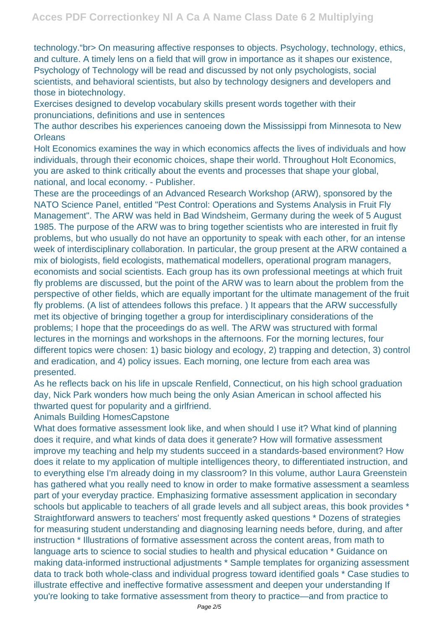technology."br> On measuring affective responses to objects. Psychology, technology, ethics, and culture. A timely lens on a field that will grow in importance as it shapes our existence, Psychology of Technology will be read and discussed by not only psychologists, social scientists, and behavioral scientists, but also by technology designers and developers and those in biotechnology.

Exercises designed to develop vocabulary skills present words together with their pronunciations, definitions and use in sentences

The author describes his experiences canoeing down the Mississippi from Minnesota to New **Orleans** 

Holt Economics examines the way in which economics affects the lives of individuals and how individuals, through their economic choices, shape their world. Throughout Holt Economics, you are asked to think critically about the events and processes that shape your global, national, and local economy. - Publisher.

These are the proceedings of an Advanced Research Workshop (ARW), sponsored by the NATO Science Panel, entitled "Pest Control: Operations and Systems Analysis in Fruit Fly Management". The ARW was held in Bad Windsheim, Germany during the week of 5 August 1985. The purpose of the ARW was to bring together scientists who are interested in fruit fly problems, but who usually do not have an opportunity to speak with each other, for an intense week of interdisciplinary collaboration. In particular, the group present at the ARW contained a mix of biologists, field ecologists, mathematical modellers, operational program managers, economists and social scientists. Each group has its own professional meetings at which fruit fly problems are discussed, but the point of the ARW was to learn about the problem from the perspective of other fields, which are equally important for the ultimate management of the fruit fly problems. (A list of attendees follows this preface. ) It appears that the ARW successfully met its objective of bringing together a group for interdisciplinary considerations of the problems; I hope that the proceedings do as well. The ARW was structured with formal lectures in the mornings and workshops in the afternoons. For the morning lectures, four different topics were chosen: 1) basic biology and ecology, 2) trapping and detection, 3) control and eradication, and 4) policy issues. Each morning, one lecture from each area was presented.

As he reflects back on his life in upscale Renfield, Connecticut, on his high school graduation day, Nick Park wonders how much being the only Asian American in school affected his thwarted quest for popularity and a girlfriend.

Animals Building HomesCapstone

What does formative assessment look like, and when should I use it? What kind of planning does it require, and what kinds of data does it generate? How will formative assessment improve my teaching and help my students succeed in a standards-based environment? How does it relate to my application of multiple intelligences theory, to differentiated instruction, and to everything else I'm already doing in my classroom? In this volume, author Laura Greenstein has gathered what you really need to know in order to make formative assessment a seamless part of your everyday practice. Emphasizing formative assessment application in secondary schools but applicable to teachers of all grade levels and all subject areas, this book provides \* Straightforward answers to teachers' most frequently asked questions \* Dozens of strategies for measuring student understanding and diagnosing learning needs before, during, and after instruction \* Illustrations of formative assessment across the content areas, from math to language arts to science to social studies to health and physical education \* Guidance on making data-informed instructional adjustments \* Sample templates for organizing assessment data to track both whole-class and individual progress toward identified goals \* Case studies to illustrate effective and ineffective formative assessment and deepen your understanding If you're looking to take formative assessment from theory to practice—and from practice to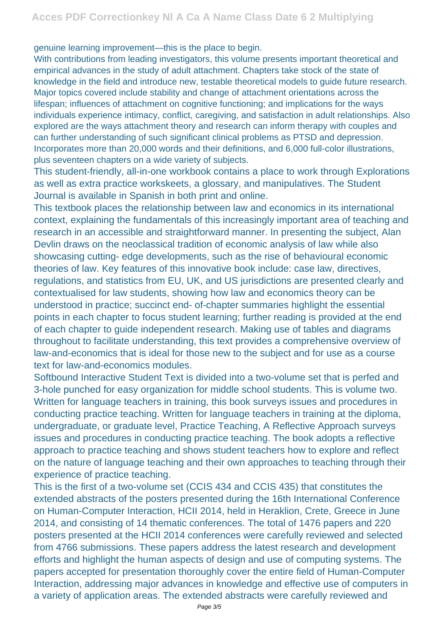genuine learning improvement—this is the place to begin.

With contributions from leading investigators, this volume presents important theoretical and empirical advances in the study of adult attachment. Chapters take stock of the state of knowledge in the field and introduce new, testable theoretical models to guide future research. Major topics covered include stability and change of attachment orientations across the lifespan; influences of attachment on cognitive functioning; and implications for the ways individuals experience intimacy, conflict, caregiving, and satisfaction in adult relationships. Also explored are the ways attachment theory and research can inform therapy with couples and can further understanding of such significant clinical problems as PTSD and depression. Incorporates more than 20,000 words and their definitions, and 6,000 full-color illustrations, plus seventeen chapters on a wide variety of subjects.

This student-friendly, all-in-one workbook contains a place to work through Explorations as well as extra practice workskeets, a glossary, and manipulatives. The Student Journal is available in Spanish in both print and online.

This textbook places the relationship between law and economics in its international context, explaining the fundamentals of this increasingly important area of teaching and research in an accessible and straightforward manner. In presenting the subject, Alan Devlin draws on the neoclassical tradition of economic analysis of law while also showcasing cutting- edge developments, such as the rise of behavioural economic theories of law. Key features of this innovative book include: case law, directives, regulations, and statistics from EU, UK, and US jurisdictions are presented clearly and contextualised for law students, showing how law and economics theory can be understood in practice; succinct end- of-chapter summaries highlight the essential points in each chapter to focus student learning; further reading is provided at the end of each chapter to guide independent research. Making use of tables and diagrams throughout to facilitate understanding, this text provides a comprehensive overview of law-and-economics that is ideal for those new to the subject and for use as a course text for law-and-economics modules.

Softbound Interactive Student Text is divided into a two-volume set that is perfed and 3-hole punched for easy organization for middle school students. This is volume two. Written for language teachers in training, this book surveys issues and procedures in conducting practice teaching. Written for language teachers in training at the diploma, undergraduate, or graduate level, Practice Teaching, A Reflective Approach surveys issues and procedures in conducting practice teaching. The book adopts a reflective approach to practice teaching and shows student teachers how to explore and reflect on the nature of language teaching and their own approaches to teaching through their experience of practice teaching.

This is the first of a two-volume set (CCIS 434 and CCIS 435) that constitutes the extended abstracts of the posters presented during the 16th International Conference on Human-Computer Interaction, HCII 2014, held in Heraklion, Crete, Greece in June 2014, and consisting of 14 thematic conferences. The total of 1476 papers and 220 posters presented at the HCII 2014 conferences were carefully reviewed and selected from 4766 submissions. These papers address the latest research and development efforts and highlight the human aspects of design and use of computing systems. The papers accepted for presentation thoroughly cover the entire field of Human-Computer Interaction, addressing major advances in knowledge and effective use of computers in a variety of application areas. The extended abstracts were carefully reviewed and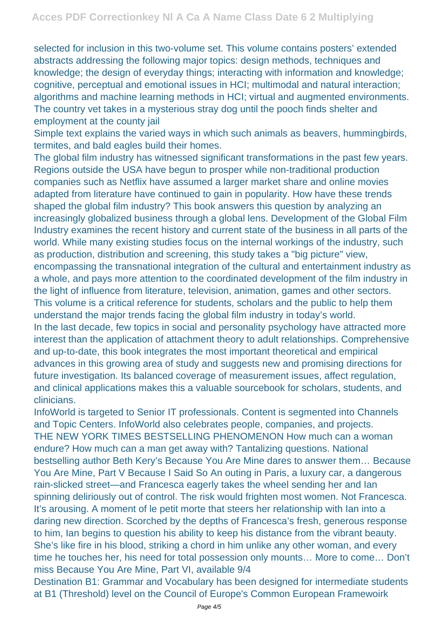selected for inclusion in this two-volume set. This volume contains posters' extended abstracts addressing the following major topics: design methods, techniques and knowledge; the design of everyday things; interacting with information and knowledge; cognitive, perceptual and emotional issues in HCI; multimodal and natural interaction; algorithms and machine learning methods in HCI; virtual and augmented environments. The country vet takes in a mysterious stray dog until the pooch finds shelter and employment at the county jail

Simple text explains the varied ways in which such animals as beavers, hummingbirds, termites, and bald eagles build their homes.

The global film industry has witnessed significant transformations in the past few years. Regions outside the USA have begun to prosper while non-traditional production companies such as Netflix have assumed a larger market share and online movies adapted from literature have continued to gain in popularity. How have these trends shaped the global film industry? This book answers this question by analyzing an increasingly globalized business through a global lens. Development of the Global Film Industry examines the recent history and current state of the business in all parts of the world. While many existing studies focus on the internal workings of the industry, such as production, distribution and screening, this study takes a "big picture" view, encompassing the transnational integration of the cultural and entertainment industry as a whole, and pays more attention to the coordinated development of the film industry in the light of influence from literature, television, animation, games and other sectors. This volume is a critical reference for students, scholars and the public to help them understand the major trends facing the global film industry in today's world. In the last decade, few topics in social and personality psychology have attracted more interest than the application of attachment theory to adult relationships. Comprehensive and up-to-date, this book integrates the most important theoretical and empirical advances in this growing area of study and suggests new and promising directions for future investigation. Its balanced coverage of measurement issues, affect regulation, and clinical applications makes this a valuable sourcebook for scholars, students, and

clinicians. InfoWorld is targeted to Senior IT professionals. Content is segmented into Channels

and Topic Centers. InfoWorld also celebrates people, companies, and projects. THE NEW YORK TIMES BESTSELLING PHENOMENON How much can a woman endure? How much can a man get away with? Tantalizing questions. National bestselling author Beth Kery's Because You Are Mine dares to answer them… Because You Are Mine, Part V Because I Said So An outing in Paris, a luxury car, a dangerous rain-slicked street—and Francesca eagerly takes the wheel sending her and Ian spinning deliriously out of control. The risk would frighten most women. Not Francesca. It's arousing. A moment of le petit morte that steers her relationship with Ian into a daring new direction. Scorched by the depths of Francesca's fresh, generous response to him, Ian begins to question his ability to keep his distance from the vibrant beauty. She's like fire in his blood, striking a chord in him unlike any other woman, and every time he touches her, his need for total possession only mounts… More to come… Don't miss Because You Are Mine, Part VI, available 9/4

Destination B1: Grammar and Vocabulary has been designed for intermediate students at B1 (Threshold) level on the Council of Europe's Common European Framewoirk